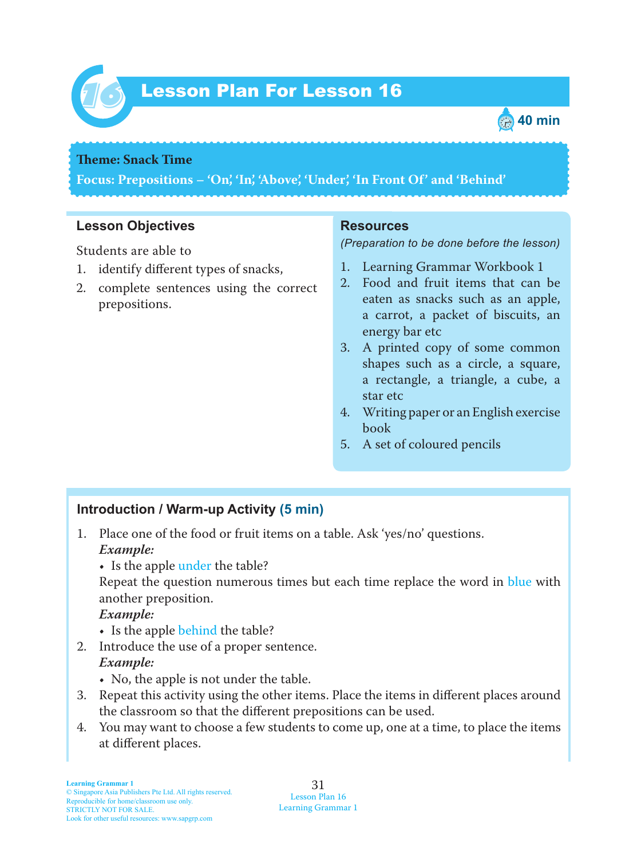

# Lesson Plan For Lesson 16 *16*



### **Theme: Snack Time**

**Focus: Prepositions – 'On', 'In', 'Above', 'Under', 'In Front Of' and 'Behind'**

### **Lesson Objectives**

Students are able to

- 1. identify different types of snacks,
- 2. complete sentences using the correct prepositions.

#### **Resources**

*(Preparation to be done before the lesson)*

- 1. Learning Grammar Workbook 1
- 2. Food and fruit items that can be eaten as snacks such as an apple, a carrot, a packet of biscuits, an energy bar etc
- 3. A printed copy of some common shapes such as a circle, a square, a rectangle, a triangle, a cube, a star etc
- 4. Writing paper or an English exercise book
- 5. A set of coloured pencils

#### **Introduction / Warm-up Activity (5 min)**

- 1. Place one of the food or fruit items on a table. Ask 'yes/no' questions.  *Example:*
	- Is the apple under the table?

Repeat the question numerous times but each time replace the word in blue with another preposition.

#### *Example:*

- Is the apple behind the table?
- 2. Introduce the use of a proper sentence.  *Example:*
	- No, the apple is not under the table.
- 3. Repeat this activity using the other items. Place the items in different places around the classroom so that the different prepositions can be used.
- 4. You may want to choose a few students to come up, one at a time, to place the items at different places.

31 Lesson Plan 16 Learning Grammar 1